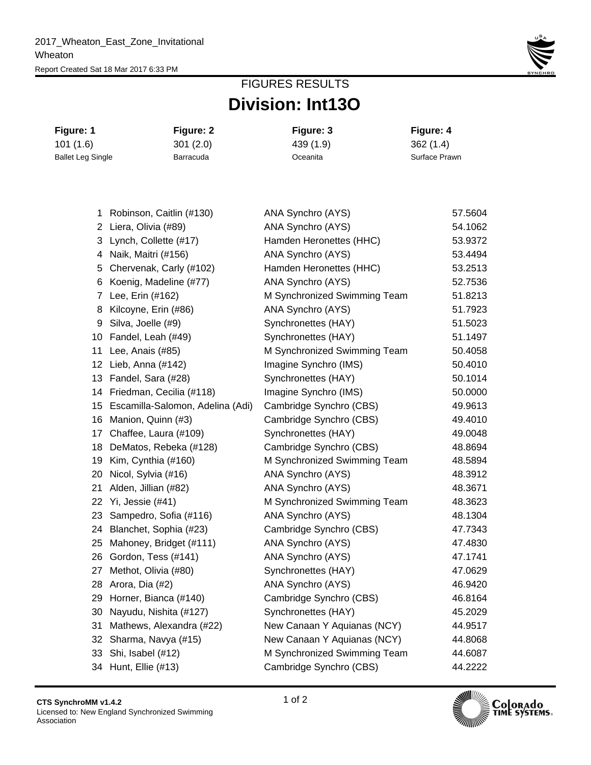

## **Division: Int13O** FIGURES RESULTS

| Figure: 1                | Figure: 2 | Figure: 3 | Figure: 4     |
|--------------------------|-----------|-----------|---------------|
| 101(1.6)                 | 301(2.0)  | 439 (1.9) | 362(1.4)      |
| <b>Ballet Leg Single</b> | Barracuda | Oceanita  | Surface Prawn |

| 1               | Robinson, Caitlin (#130)            | ANA Synchro (AYS)            | 57.5604 |
|-----------------|-------------------------------------|------------------------------|---------|
|                 | 2 Liera, Olivia (#89)               | ANA Synchro (AYS)            | 54.1062 |
|                 | 3 Lynch, Collette (#17)             | Hamden Heronettes (HHC)      | 53.9372 |
|                 | 4 Naik, Maitri (#156)               | ANA Synchro (AYS)            | 53.4494 |
|                 | 5 Chervenak, Carly (#102)           | Hamden Heronettes (HHC)      | 53.2513 |
|                 | 6 Koenig, Madeline (#77)            | ANA Synchro (AYS)            | 52.7536 |
| 7               | Lee, Erin (#162)                    | M Synchronized Swimming Team | 51.8213 |
| 8               | Kilcoyne, Erin (#86)                | ANA Synchro (AYS)            | 51.7923 |
| 9               | Silva, Joelle (#9)                  | Synchronettes (HAY)          | 51.5023 |
| 10              | Fandel, Leah (#49)                  | Synchronettes (HAY)          | 51.1497 |
| 11              | Lee, Anais (#85)                    | M Synchronized Swimming Team | 50.4058 |
| 12              | Lieb, Anna (#142)                   | Imagine Synchro (IMS)        | 50.4010 |
|                 | 13 Fandel, Sara (#28)               | Synchronettes (HAY)          | 50.1014 |
|                 | 14 Friedman, Cecilia (#118)         | Imagine Synchro (IMS)        | 50.0000 |
|                 | 15 Escamilla-Salomon, Adelina (Adi) | Cambridge Synchro (CBS)      | 49.9613 |
| 16              | Manion, Quinn (#3)                  | Cambridge Synchro (CBS)      | 49.4010 |
| 17              | Chaffee, Laura (#109)               | Synchronettes (HAY)          | 49.0048 |
| 18              | DeMatos, Rebeka (#128)              | Cambridge Synchro (CBS)      | 48.8694 |
| 19              | Kim, Cynthia (#160)                 | M Synchronized Swimming Team | 48.5894 |
| 20              | Nicol, Sylvia (#16)                 | ANA Synchro (AYS)            | 48.3912 |
| 21              | Alden, Jillian (#82)                | ANA Synchro (AYS)            | 48.3671 |
| 22              | Yi, Jessie (#41)                    | M Synchronized Swimming Team | 48.3623 |
|                 | 23 Sampedro, Sofia (#116)           | ANA Synchro (AYS)            | 48.1304 |
|                 | 24 Blanchet, Sophia (#23)           | Cambridge Synchro (CBS)      | 47.7343 |
| 25              | Mahoney, Bridget (#111)             | ANA Synchro (AYS)            | 47.4830 |
| 26              | Gordon, Tess (#141)                 | ANA Synchro (AYS)            | 47.1741 |
| 27              | Methot, Olivia (#80)                | Synchronettes (HAY)          | 47.0629 |
| 28              | Arora, Dia (#2)                     | ANA Synchro (AYS)            | 46.9420 |
|                 | 29 Horner, Bianca (#140)            | Cambridge Synchro (CBS)      | 46.8164 |
|                 | 30 Nayudu, Nishita (#127)           | Synchronettes (HAY)          | 45.2029 |
| 31              | Mathews, Alexandra (#22)            | New Canaan Y Aquianas (NCY)  | 44.9517 |
| 32 <sub>2</sub> | Sharma, Navya (#15)                 | New Canaan Y Aquianas (NCY)  | 44.8068 |
| 33              | Shi, Isabel (#12)                   | M Synchronized Swimming Team | 44.6087 |
|                 | 34 Hunt, Ellie (#13)                | Cambridge Synchro (CBS)      | 44.2222 |